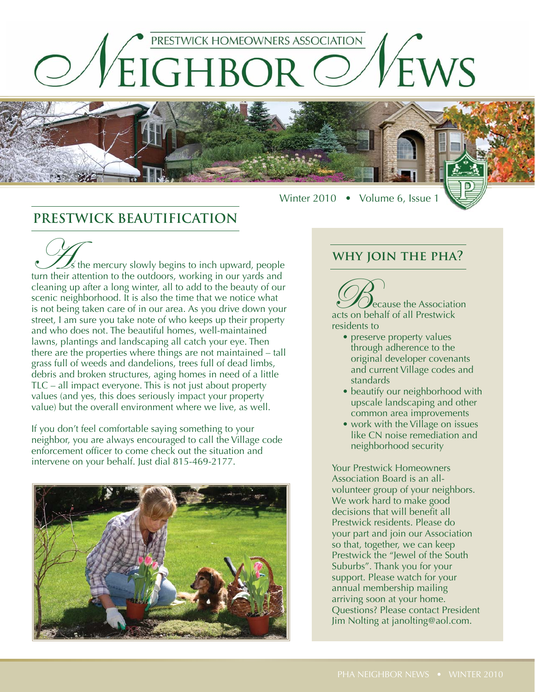

# **PRESTWICK BEAUTIFICATION**

 $\mathcal{L}_s$  the mercury slowly begins to inch upward, people turn their attention to the outdoors, working in our yards and cleaning up after a long winter, all to add to the beauty of our scenic neighborhood. It is also the time that we notice what is not being taken care of in our area. As you drive down your street, I am sure you take note of who keeps up their property and who does not. The beautiful homes, well-maintained lawns, plantings and landscaping all catch your eye. Then there are the properties where things are not maintained – tall grass full of weeds and dandelions, trees full of dead limbs, debris and broken structures, aging homes in need of a little TLC – all impact everyone. This is not just about property values (and yes, this does seriously impact your property value) but the overall environment where we live, as well.

If you don't feel comfortable saying something to your neighbor, you are always encouraged to call the Village code enforcement officer to come check out the situation and intervene on your behalf. Just dial 815-469-2177.



## **why join the pha?**

Winter 2010 • Volume 6, Issue 1

Because the Association acts on behalf of all Prestwick residents to

- preserve property values through adherence to the original developer covenants and current Village codes and standards
- beautify our neighborhood with upscale landscaping and other common area improvements
- work with the Village on issues like CN noise remediation and neighborhood security

Your Prestwick Homeowners Association Board is an allvolunteer group of your neighbors. We work hard to make good decisions that will benefit all Prestwick residents. Please do your part and join our Association so that, together, we can keep Prestwick the "Jewel of the South Suburbs". Thank you for your support. Please watch for your annual membership mailing arriving soon at your home. Questions? Please contact President Jim Nolting at janolting@aol.com.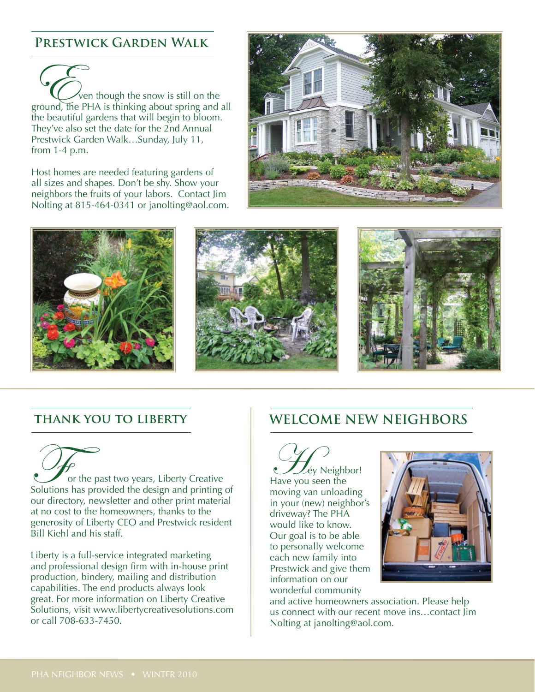# **Prestwick Garden Walk**

For though the snow is still on the ground, the PHA is thinking about spring and all the beautiful gardens that will begin to bloom. They've also set the date for the 2nd Annual Prestwick Garden Walk…Sunday, July 11, from 1-4 p.m.

Host homes are needed featuring gardens of all sizes and shapes. Don't be shy. Show your neighbors the fruits of your labors. Contact Jim Nolting at 815-464-0341 or janolting@aol.com.





## **thank you to liberty**

**For the past two years, Liberty Creative**<br>Solutions has provided the design and printing of our directory, newsletter and other print material at no cost to the homeowners, thanks to the generosity of Liberty CEO and Prestwick resident Bill Kiehl and his staff.

Liberty is a full-service integrated marketing and professional design firm with in-house print production, bindery, mailing and distribution capabilities. The end products always look great. For more information on Liberty Creative Solutions, visit www.libertycreativesolutions.com or call 708-633-7450.

# **WELCOME NEW NEIGHBORS**

Hey Neighbor! Have you seen the moving van unloading in your (new) neighbor's driveway? The PHA would like to know. Our goal is to be able to personally welcome each new family into Prestwick and give them information on our wonderful community



and active homeowners association. Please help us connect with our recent move ins…contact Jim Nolting at janolting@aol.com.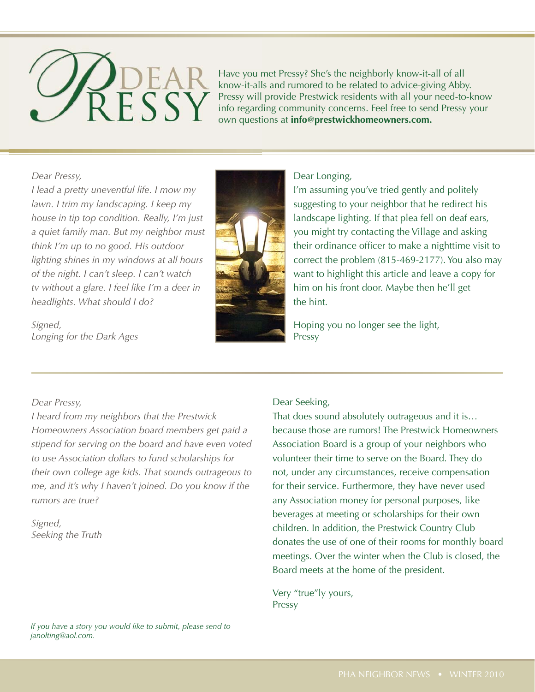

Have you met Pressy? She's the neighborly know-it-all of all know-it-alls and rumored to be related to advice-giving Abby. know-it-all Pressy will provide Prestwick residents with all your need-to-know info regarding community concerns. Feel free to send Pressy your own questions at **info@prestwickhomeowners.com.** questi

#### *Dear Pressy,*

*I lead a pretty uneventful life. I mow my lawn. I trim my landscaping. I keep my house in tip top condition. Really, I'm just a quiet family man. But my neighbor must think I'm up to no good. His outdoor lighting shines in my windows at all hours of the night. I can't sleep. I can't watch tv without a glare. I feel like I'm a deer in headlights. What should I do?*

*Signed, Longing for the Dark Ages*



#### Dear Longing,

I'm assuming you've tried gently and politely suggesting to your neighbor that he redirect his landscape lighting. If that plea fell on deaf ears, you might try contacting the Village and asking their ordinance officer to make a nighttime visit to correct the problem (815-469-2177). You also may want to highlight this article and leave a copy for him on his front door. Maybe then he'll get the hint.

Hoping you no longer see the light, Pressy

### *Dear Pressy,*

*I heard from my neighbors that the Prestwick Homeowners Association board members get paid a stipend for serving on the board and have even voted to use Association dollars to fund scholarships for their own college age kids. That sounds outrageous to me, and it's why I haven't joined. Do you know if the rumors are true?*

*Signed, Seeking the Truth*

#### *If you have a story you would like to submit, please send to janolting@aol.com.*

#### Dear Seeking,

That does sound absolutely outrageous and it is… because those are rumors! The Prestwick Homeowners Association Board is a group of your neighbors who volunteer their time to serve on the Board. They do not, under any circumstances, receive compensation for their service. Furthermore, they have never used any Association money for personal purposes, like beverages at meeting or scholarships for their own children. In addition, the Prestwick Country Club donates the use of one of their rooms for monthly board meetings. Over the winter when the Club is closed, the Board meets at the home of the president.

Very "true"ly yours, Pressy